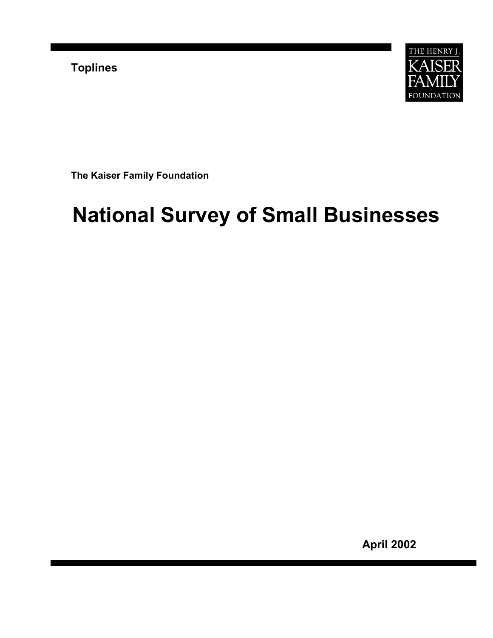**Toplines** 



**The Kaiser Family Foundation**

# **National Survey of Small Businesses**

**April 2002**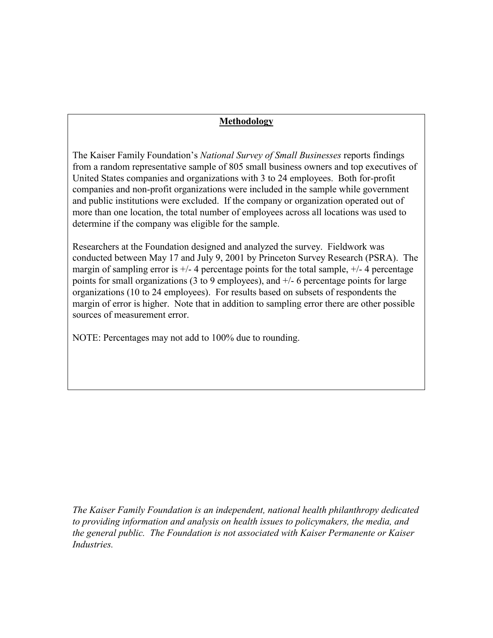# **Methodology**

The Kaiser Family Foundation's *National Survey of Small Businesses* reports findings from a random representative sample of 805 small business owners and top executives of United States companies and organizations with 3 to 24 employees. Both for-profit companies and non-profit organizations were included in the sample while government and public institutions were excluded. If the company or organization operated out of more than one location, the total number of employees across all locations was used to determine if the company was eligible for the sample.

Researchers at the Foundation designed and analyzed the survey. Fieldwork was conducted between May 17 and July 9, 2001 by Princeton Survey Research (PSRA). The margin of sampling error is  $+/- 4$  percentage points for the total sample,  $+/- 4$  percentage points for small organizations (3 to 9 employees), and +/- 6 percentage points for large organizations (10 to 24 employees). For results based on subsets of respondents the margin of error is higher. Note that in addition to sampling error there are other possible sources of measurement error.

NOTE: Percentages may not add to 100% due to rounding.

*The Kaiser Family Foundation is an independent, national health philanthropy dedicated to providing information and analysis on health issues to policymakers, the media, and the general public. The Foundation is not associated with Kaiser Permanente or Kaiser Industries.*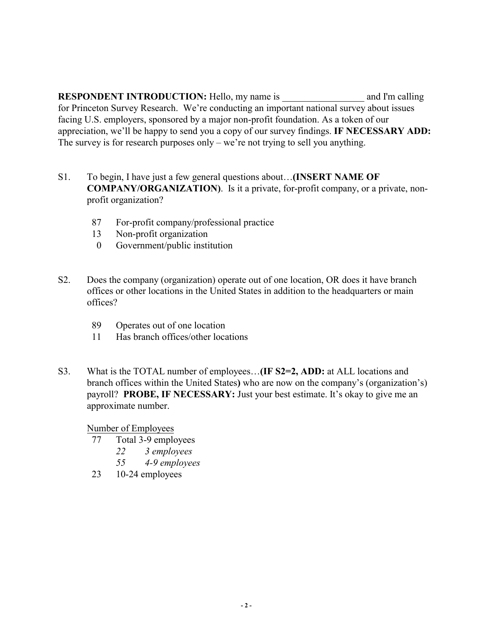**RESPONDENT INTRODUCTION:** Hello, my name is and I'm calling for Princeton Survey Research.We're conducting an important national survey about issues facing U.S. employers, sponsored by a major non-profit foundation. As a token of our appreciation, we'll be happy to send you a copy of our survey findings. **IF NECESSARY ADD:**  The survey is for research purposes only – we're not trying to sell you anything.

- S1. To begin, I have just a few general questions about…**(INSERT NAME OF COMPANY/ORGANIZATION)**. Is it a private, for-profit company, or a private, nonprofit organization?
	- 87 For-profit company/professional practice
	- 13 Non-profit organization
	- 0 Government/public institution
- S2. Does the company (organization) operate out of one location, OR does it have branch offices or other locations in the United States in addition to the headquarters or main offices?
	- 89 Operates out of one location
	- 11 Has branch offices/other locations
- S3. What is the TOTAL number of employees…**(IF S2=2, ADD:** at ALL locations and branch offices within the United States**)** who are now on the company's (organization's) payroll? **PROBE, IF NECESSARY:** Just your best estimate. It's okay to give me an approximate number.

Number of Employees

- 77 Total 3-9 employees
	- *22 3 employees*
	- *55 4-9 employees*
- 23 10-24 employees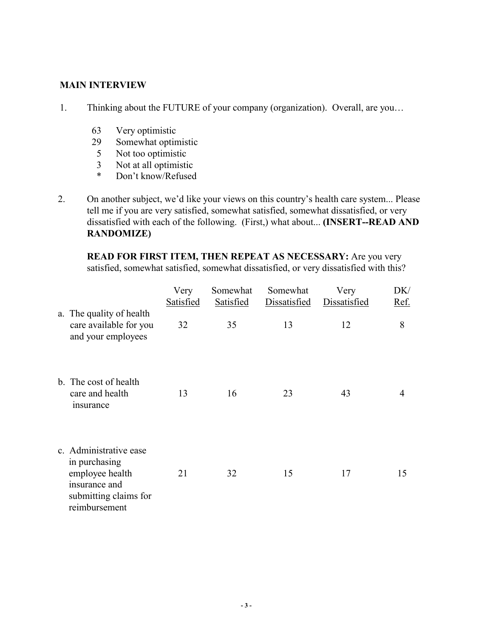# **MAIN INTERVIEW**

- 1. Thinking about the FUTURE of your company (organization). Overall, are you…
	- 63 Very optimistic
	- 29 Somewhat optimistic
	- 5 Not too optimistic
	- 3 Not at all optimistic
	- \* Don't know/Refused
- 2. On another subject, we'd like your views on this country's health care system... Please tell me if you are very satisfied, somewhat satisfied, somewhat dissatisfied, or very dissatisfied with each of the following. (First,) what about... **(INSERT--READ AND RANDOMIZE)**

**READ FOR FIRST ITEM, THEN REPEAT AS NECESSARY:** Are you very satisfied, somewhat satisfied, somewhat dissatisfied, or very dissatisfied with this?

|                                                                                                                       | Very<br>Satisfied | Somewhat<br>Satisfied | Somewhat<br>Dissatisfied | Very<br>Dissatisfied | DK/<br>Ref. |
|-----------------------------------------------------------------------------------------------------------------------|-------------------|-----------------------|--------------------------|----------------------|-------------|
| a. The quality of health<br>care available for you<br>and your employees                                              | 32                | 35                    | 13                       | 12                   | 8           |
| b. The cost of health<br>care and health<br>insurance                                                                 | 13                | 16                    | 23                       | 43                   | 4           |
| c. Administrative ease<br>in purchasing<br>employee health<br>insurance and<br>submitting claims for<br>reimbursement | 21                | 32                    | 15                       | 17                   | 15          |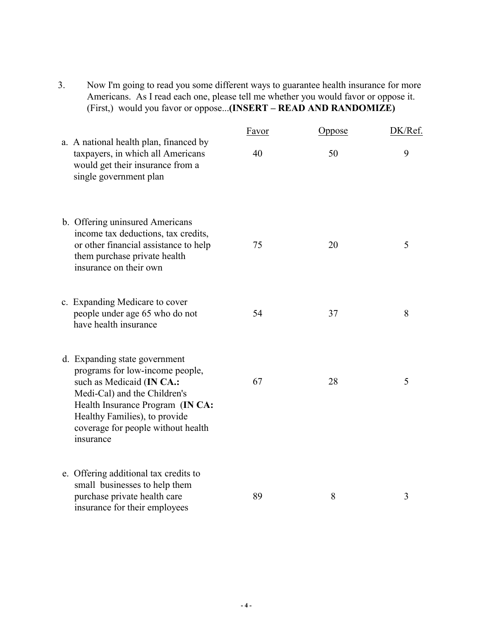3. Now I'm going to read you some different ways to guarantee health insurance for more Americans. As I read each one, please tell me whether you would favor or oppose it. (First,) would you favor or oppose...**(INSERT – READ AND RANDOMIZE)** 

|                                                                                                                                                                                                                                                       | Favor | <b>Oppose</b> | DK/Ref. |
|-------------------------------------------------------------------------------------------------------------------------------------------------------------------------------------------------------------------------------------------------------|-------|---------------|---------|
| a. A national health plan, financed by<br>taxpayers, in which all Americans<br>would get their insurance from a<br>single government plan                                                                                                             | 40    | 50            | 9       |
| b. Offering uninsured Americans<br>income tax deductions, tax credits,<br>or other financial assistance to help<br>them purchase private health<br>insurance on their own                                                                             | 75    | 20            | 5       |
| c. Expanding Medicare to cover<br>people under age 65 who do not<br>have health insurance                                                                                                                                                             | 54    | 37            | 8       |
| d. Expanding state government<br>programs for low-income people,<br>such as Medicaid (IN CA.:<br>Medi-Cal) and the Children's<br>Health Insurance Program (IN CA:<br>Healthy Families), to provide<br>coverage for people without health<br>insurance | 67    | 28            | 5       |
| e. Offering additional tax credits to<br>small businesses to help them<br>purchase private health care<br>insurance for their employees                                                                                                               | 89    | 8             | 3       |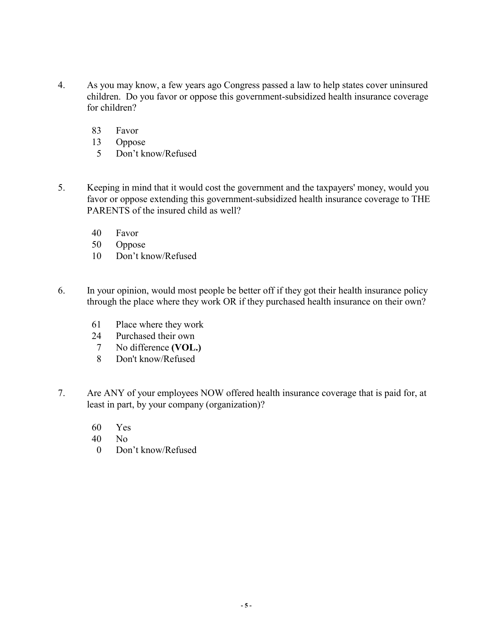- 4. As you may know, a few years ago Congress passed a law to help states cover uninsured children. Do you favor or oppose this government-subsidized health insurance coverage for children?
	- 83 Favor
	- 13 Oppose
	- 5 Don't know/Refused
- 5. Keeping in mind that it would cost the government and the taxpayers' money, would you favor or oppose extending this government-subsidized health insurance coverage to THE PARENTS of the insured child as well?
	- 40 Favor
	- 50 Oppose
	- 10 Don't know/Refused
- 6. In your opinion, would most people be better off if they got their health insurance policy through the place where they work OR if they purchased health insurance on their own?
	- 61 Place where they work
	- 24 Purchased their own
	- 7 No difference **(VOL.)**
	- 8 Don't know/Refused
- 7. Are ANY of your employees NOW offered health insurance coverage that is paid for, at least in part, by your company (organization)?
	- 60 Yes
	- 40 No
	- 0 Don't know/Refused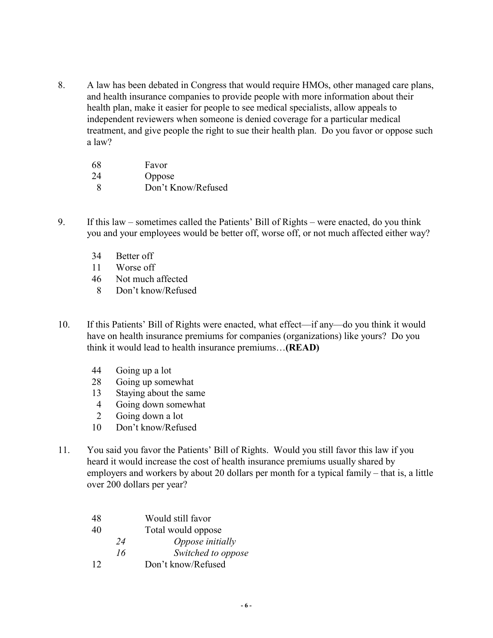8. A law has been debated in Congress that would require HMOs, other managed care plans, and health insurance companies to provide people with more information about their health plan, make it easier for people to see medical specialists, allow appeals to independent reviewers when someone is denied coverage for a particular medical treatment, and give people the right to sue their health plan. Do you favor or oppose such a law?

| 68 | Favor              |
|----|--------------------|
| 24 | Oppose             |
| 8  | Don't Know/Refused |

- 9. If this law sometimes called the Patients' Bill of Rights were enacted, do you think you and your employees would be better off, worse off, or not much affected either way?
	- 34 Better off
	- 11 Worse off
	- 46 Not much affected
	- 8 Don't know/Refused
- 10. If this Patients' Bill of Rights were enacted, what effect—if any—do you think it would have on health insurance premiums for companies (organizations) like yours? Do you think it would lead to health insurance premiums…**(READ)**
	- 44 Going up a lot
	- 28 Going up somewhat
	- 13 Staying about the same
	- 4 Going down somewhat
	- 2 Going down a lot
	- 10 Don't know/Refused
- 11. You said you favor the Patients' Bill of Rights. Would you still favor this law if you heard it would increase the cost of health insurance premiums usually shared by employers and workers by about 20 dollars per month for a typical family – that is, a little over 200 dollars per year?

| 48 |    | Would still favor  |
|----|----|--------------------|
| 40 |    | Total would oppose |
|    | 24 | Oppose initially   |
|    | 16 | Switched to oppose |
| 12 |    | Don't know/Refused |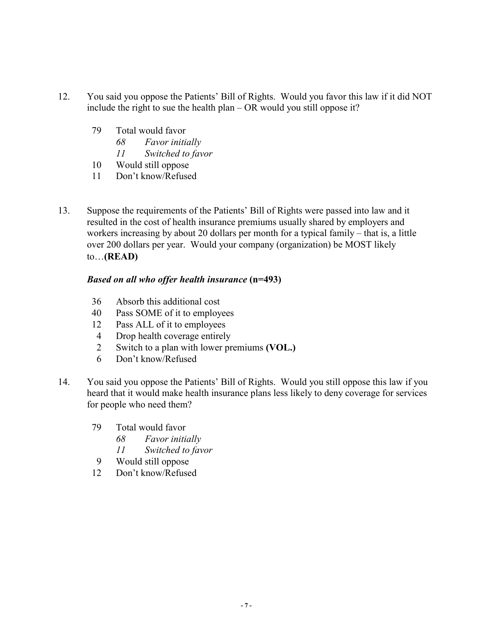- 12. You said you oppose the Patients' Bill of Rights. Would you favor this law if it did NOT include the right to sue the health plan – OR would you still oppose it?
	- 79 Total would favor
		- *68 Favor initially*
		- *11 Switched to favor*
	- 10 Would still oppose
	- 11 Don't know/Refused
- 13. Suppose the requirements of the Patients' Bill of Rights were passed into law and it resulted in the cost of health insurance premiums usually shared by employers and workers increasing by about 20 dollars per month for a typical family – that is, a little over 200 dollars per year. Would your company (organization) be MOST likely to…**(READ)**

- 36 Absorb this additional cost
- 40 Pass SOME of it to employees
- 12 Pass ALL of it to employees
- 4 Drop health coverage entirely
- 2 Switch to a plan with lower premiums **(VOL.)**
- 6 Don't know/Refused
- 14. You said you oppose the Patients' Bill of Rights. Would you still oppose this law if you heard that it would make health insurance plans less likely to deny coverage for services for people who need them?
	- 79 Total would favor
		- *68 Favor initially*
		- *11 Switched to favor*
	- 9 Would still oppose
	- 12 Don't know/Refused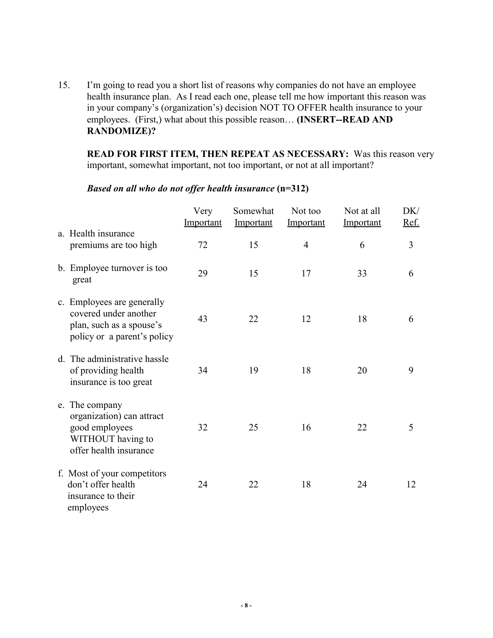15. I'm going to read you a short list of reasons why companies do not have an employee health insurance plan. As I read each one, please tell me how important this reason was in your company's (organization's) decision NOT TO OFFER health insurance to your employees. (First,) what about this possible reason… **(INSERT--READ AND RANDOMIZE)?**

**READ FOR FIRST ITEM, THEN REPEAT AS NECESSARY:** Was this reason very important, somewhat important, not too important, or not at all important?

|                                                                                                                | Very<br>Important | Somewhat<br>Important | Not too<br>Important | Not at all<br>Important | DK/<br>Ref. |
|----------------------------------------------------------------------------------------------------------------|-------------------|-----------------------|----------------------|-------------------------|-------------|
| a. Health insurance<br>premiums are too high                                                                   | 72                | 15                    | $\overline{4}$       | 6                       | 3           |
| b. Employee turnover is too<br>great                                                                           | 29                | 15                    | 17                   | 33                      | 6           |
| c. Employees are generally<br>covered under another<br>plan, such as a spouse's<br>policy or a parent's policy | 43                | 22                    | 12                   | 18                      | 6           |
| d. The administrative hassle<br>of providing health<br>insurance is too great                                  | 34                | 19                    | 18                   | 20                      | 9           |
| e. The company<br>organization) can attract<br>good employees<br>WITHOUT having to<br>offer health insurance   | 32                | 25                    | 16                   | 22                      | 5           |
| f. Most of your competitors<br>don't offer health<br>insurance to their<br>employees                           | 24                | 22                    | 18                   | 24                      | 12          |

# *Based on all who do not offer health insurance* **(n=312)**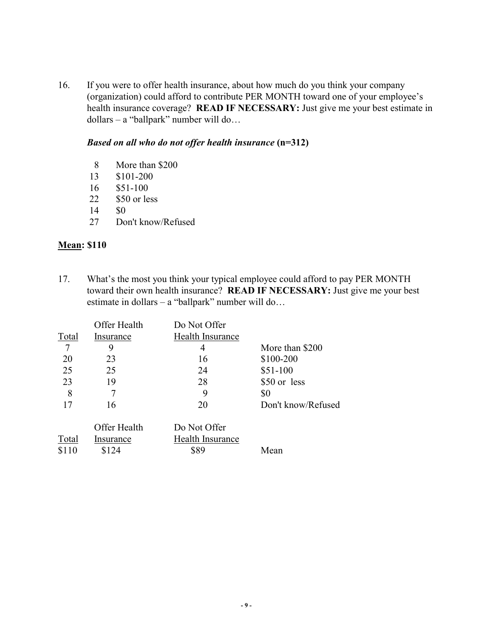16. If you were to offer health insurance, about how much do you think your company (organization) could afford to contribute PER MONTH toward one of your employee's health insurance coverage? **READ IF NECESSARY:** Just give me your best estimate in dollars – a "ballpark" number will do…

#### *Based on all who do not offer health insurance* **(n=312)**

- 8 More than \$200
- 13 \$101-200
- 16 \$51-100
- 22 \$50 or less
- 14 \$0
- 27 Don't know/Refused

# **Mean: \$110**

17. What's the most you think your typical employee could afford to pay PER MONTH toward their own health insurance? **READ IF NECESSARY:** Just give me your best estimate in dollars – a "ballpark" number will do…

|       | Offer Health | Do Not Offer     |                    |
|-------|--------------|------------------|--------------------|
| Total | Insurance    | Health Insurance |                    |
|       | 9            | 4                | More than \$200    |
| 20    | 23           | 16               | \$100-200          |
| 25    | 25           | 24               | $$51-100$          |
| 23    | 19           | 28               | \$50 or less       |
| 8     |              | 9                | \$0                |
| 17    | 16           | 20               | Don't know/Refused |
|       |              |                  |                    |
|       | Offer Health | Do Not Offer     |                    |
| Total | Insurance    | Health Insurance |                    |
| \$110 | \$124        | \$89             | Mean               |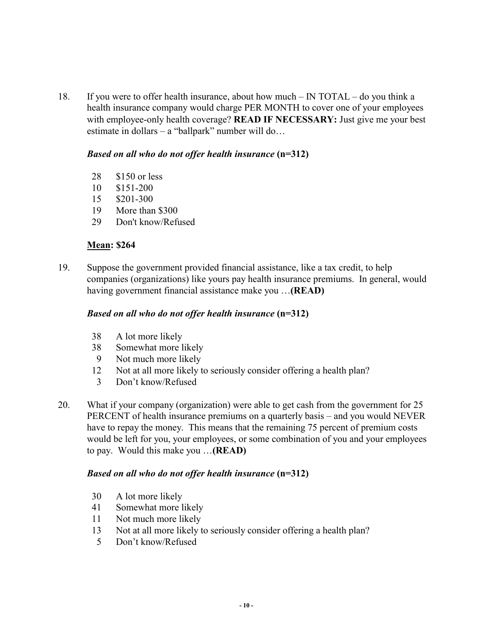18. If you were to offer health insurance, about how much – IN TOTAL – do you think a health insurance company would charge PER MONTH to cover one of your employees with employee-only health coverage? **READ IF NECESSARY:** Just give me your best estimate in dollars – a "ballpark" number will do…

# *Based on all who do not offer health insurance* **(n=312)**

- 28 \$150 or less
- 10 \$151-200
- 15 \$201-300
- 19 More than \$300
- 29 Don't know/Refused

# **Mean: \$264**

19. Suppose the government provided financial assistance, like a tax credit, to help companies (organizations) like yours pay health insurance premiums. In general, would having government financial assistance make you …**(READ)**

# *Based on all who do not offer health insurance* **(n=312)**

- 38 A lot more likely
- 38 Somewhat more likely
- 9 Not much more likely
- 12 Not at all more likely to seriously consider offering a health plan?
- 3 Don't know/Refused
- 20. What if your company (organization) were able to get cash from the government for 25 PERCENT of health insurance premiums on a quarterly basis – and you would NEVER have to repay the money. This means that the remaining 75 percent of premium costs would be left for you, your employees, or some combination of you and your employees to pay. Would this make you …**(READ)**

#### *Based on all who do not offer health insurance* **(n=312)**

- 30 A lot more likely
- 41 Somewhat more likely
- 11 Not much more likely
- 13 Not at all more likely to seriously consider offering a health plan?
- 5 Don't know/Refused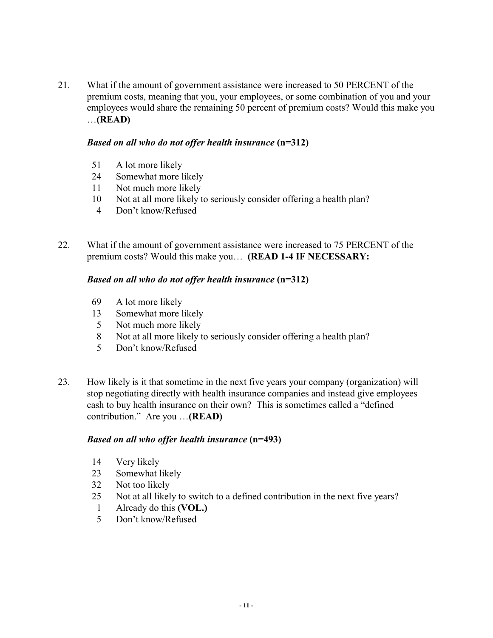21. What if the amount of government assistance were increased to 50 PERCENT of the premium costs, meaning that you, your employees, or some combination of you and your employees would share the remaining 50 percent of premium costs? Would this make you …**(READ)**

# *Based on all who do not offer health insurance* **(n=312)**

- 51 A lot more likely
- 24 Somewhat more likely
- 11 Not much more likely
- 10 Not at all more likely to seriously consider offering a health plan?
- 4 Don't know/Refused
- 22. What if the amount of government assistance were increased to 75 PERCENT of the premium costs? Would this make you… **(READ 1-4 IF NECESSARY:**

# *Based on all who do not offer health insurance* **(n=312)**

- 69 A lot more likely
- 13 Somewhat more likely
- 5 Not much more likely
- 8 Not at all more likely to seriously consider offering a health plan?
- 5 Don't know/Refused
- 23. How likely is it that sometime in the next five years your company (organization) will stop negotiating directly with health insurance companies and instead give employees cash to buy health insurance on their own? This is sometimes called a "defined contribution." Are you …**(READ)**

- 14 Very likely
- 23 Somewhat likely
- 32 Not too likely
- 25 Not at all likely to switch to a defined contribution in the next five years?
- 1 Already do this **(VOL.)**
- 5 Don't know/Refused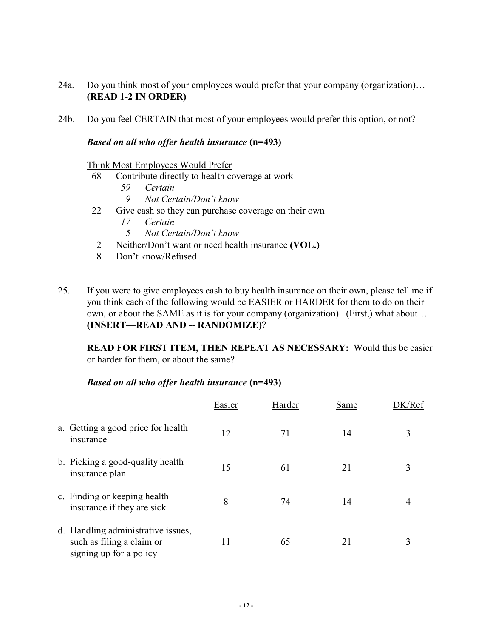- 24a. Do you think most of your employees would prefer that your company (organization)… **(READ 1-2 IN ORDER)**
- 24b. Do you feel CERTAIN that most of your employees would prefer this option, or not?

#### *Based on all who offer health insurance* **(n=493)**

#### Think Most Employees Would Prefer

- 68 Contribute directly to health coverage at work
	- *59 Certain*
	- *9 Not Certain/Don't know*
- 22 Give cash so they can purchase coverage on their own
	- *17 Certain*
	- *5 Not Certain/Don't know*
- 2 Neither/Don't want or need health insurance **(VOL.)**
- 8 Don't know/Refused
- 25. If you were to give employees cash to buy health insurance on their own, please tell me if you think each of the following would be EASIER or HARDER for them to do on their own, or about the SAME as it is for your company (organization). (First,) what about… **(INSERT—READ AND -- RANDOMIZE)**?

**READ FOR FIRST ITEM, THEN REPEAT AS NECESSARY:** Would this be easier or harder for them, or about the same?

|                                                                                            | Easier | Harder | Same | /Ref |
|--------------------------------------------------------------------------------------------|--------|--------|------|------|
| a. Getting a good price for health<br>insurance                                            | 12     | 71     | 14   | 3    |
| b. Picking a good-quality health<br>insurance plan                                         | 15     | 61     | 21   | 3    |
| c. Finding or keeping health<br>insurance if they are sick                                 | 8      | 74     | 14   |      |
| d. Handling administrative issues,<br>such as filing a claim or<br>signing up for a policy | 11     | 65     | 21   |      |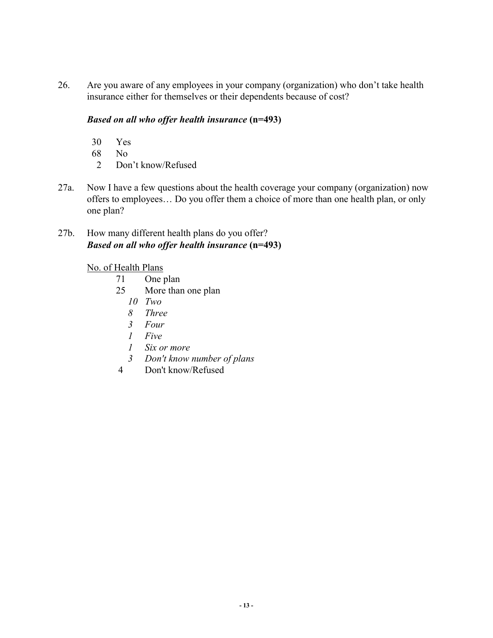26. Are you aware of any employees in your company (organization) who don't take health insurance either for themselves or their dependents because of cost?

# *Based on all who offer health insurance* **(n=493)**

- 30 Yes
- 68 No
- 2 Don't know/Refused
- 27a. Now I have a few questions about the health coverage your company (organization) now offers to employees… Do you offer them a choice of more than one health plan, or only one plan?

# 27b. How many different health plans do you offer? *Based on all who offer health insurance* **(n=493)**

# No. of Health Plans

- 71 One plan
- 25 More than one plan
	- *10 Two*
	- *8 Three*
	- *3 Four*
	- *1 Five*
	- *1 Six or more*
	- *3 Don't know number of plans*
- 4 Don't know/Refused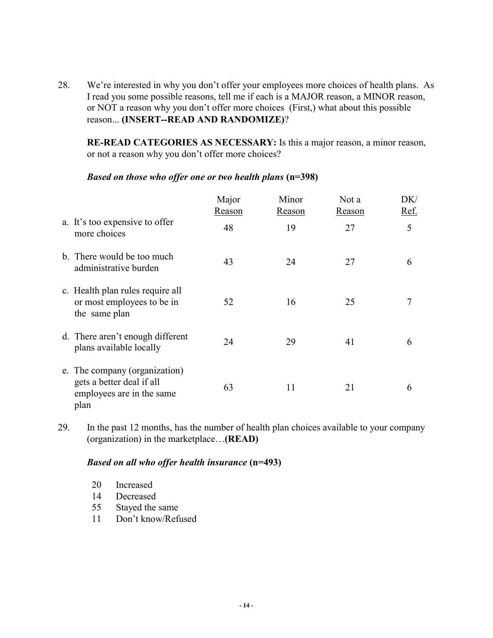28. We're interested in why you don't offer your employees more choices of health plans. As I read you some possible reasons, tell me if each is a MAJOR reason, a MINOR reason, or NOT a reason why you don't offer more choices (First,) what about this possible reason... **(INSERT--READ AND RANDOMIZE)**?

**RE-READ CATEGORIES AS NECESSARY:** Is this a major reason, a minor reason, or not a reason why you don't offer more choices?

|                                                                                                 | Major<br>Reason | Minor<br>Reason | Not a<br>Reason | DK/<br>Ref. |
|-------------------------------------------------------------------------------------------------|-----------------|-----------------|-----------------|-------------|
| a. It's too expensive to offer<br>more choices                                                  | 48              | 19              | 27              | 5           |
| b. There would be too much<br>administrative burden                                             | 43              | 24              | 27              | 6           |
| c. Health plan rules require all<br>or most employees to be in<br>the same plan                 | 52              | 16              | 25              | 7           |
| d. There aren't enough different<br>plans available locally                                     | 24              | 29              | 41              | 6           |
| e. The company (organization)<br>gets a better deal if all<br>employees are in the same<br>plan | 63              | 11              | 21              | 6           |

#### *Based on those who offer one or two health plans* **(n=398)**

29. In the past 12 months, has the number of health plan choices available to your company (organization) in the marketplace…**(READ)** 

# *Based on all who offer health insurance* **(n=493)**

| 20 | Increased       |
|----|-----------------|
| 14 | Decreased       |
| 55 | Stayed the same |

11 Don't know/Refused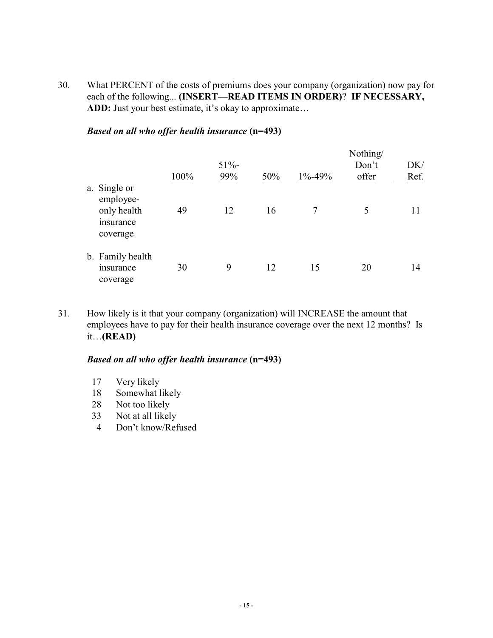30. What PERCENT of the costs of premiums does your company (organization) now pay for each of the following... **(INSERT—READ ITEMS IN ORDER)**? **IF NECESSARY, ADD:** Just your best estimate, it's okay to approximate…

### *Based on all who offer health insurance* **(n=493)**

|                                                                   | 100% | $51% -$<br>99% | 50% | $1\% - 49\%$ | Nothing/<br>Don't<br>offer | DK/<br>Ref. |
|-------------------------------------------------------------------|------|----------------|-----|--------------|----------------------------|-------------|
| a. Single or<br>employee-<br>only health<br>insurance<br>coverage | 49   | 12             | 16  | 7            | 5                          | 11          |
| b. Family health<br>insurance<br>coverage                         | 30   | 9              | 12  | 15           | 20                         | 14          |

31. How likely is it that your company (organization) will INCREASE the amount that employees have to pay for their health insurance coverage over the next 12 months? Is it…**(READ)**

- 17 Very likely
- 18 Somewhat likely
- 28 Not too likely
- 33 Not at all likely
- 4 Don't know/Refused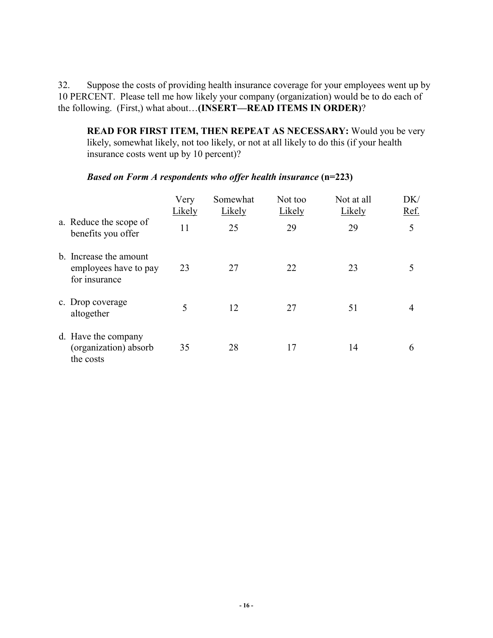32. Suppose the costs of providing health insurance coverage for your employees went up by 10 PERCENT. Please tell me how likely your company (organization) would be to do each of the following. (First,) what about…**(INSERT—READ ITEMS IN ORDER)**?

**READ FOR FIRST ITEM, THEN REPEAT AS NECESSARY:** Would you be very likely, somewhat likely, not too likely, or not at all likely to do this (if your health insurance costs went up by 10 percent)?

|                                                                  | Very<br>Likely | Somewhat<br>Likely | Not too<br>Likely | Not at all<br>Likely | DK/<br>Ref. |
|------------------------------------------------------------------|----------------|--------------------|-------------------|----------------------|-------------|
| a. Reduce the scope of<br>benefits you offer                     | 11             | 25                 | 29                | 29                   | 5           |
| b. Increase the amount<br>employees have to pay<br>for insurance | 23             | 27                 | 22                | 23                   | 5           |
| c. Drop coverage<br>altogether                                   | 5              | 12                 | 27                | 51                   | 4           |
| d. Have the company<br>(organization) absorb<br>the costs        | 35             | 28                 | 17                | 14                   | 6           |

#### *Based on Form A respondents who offer health insurance* **(n=223)**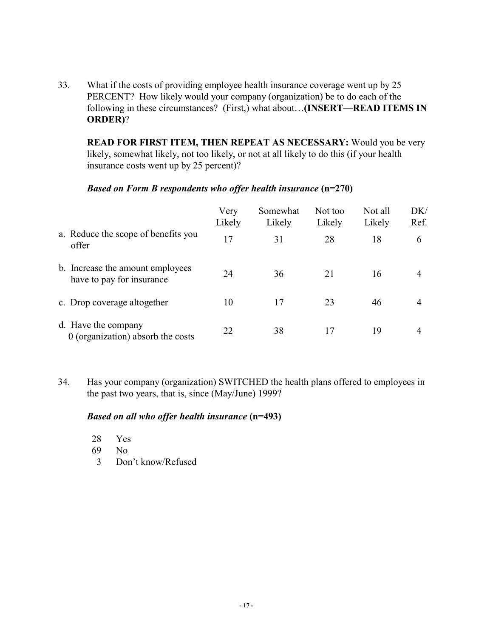33. What if the costs of providing employee health insurance coverage went up by 25 PERCENT? How likely would your company (organization) be to do each of the following in these circumstances? (First,) what about…**(INSERT—READ ITEMS IN ORDER)**?

**READ FOR FIRST ITEM, THEN REPEAT AS NECESSARY:** Would you be very likely, somewhat likely, not too likely, or not at all likely to do this (if your health insurance costs went up by 25 percent)?

#### *Based on Form B respondents who offer health insurance* **(n=270)**

|                                                               | Very<br>Likely | Somewhat<br>Likely | Not too<br>Likely | Not all<br>Likely | DK/<br>Ref.    |
|---------------------------------------------------------------|----------------|--------------------|-------------------|-------------------|----------------|
| a. Reduce the scope of benefits you<br>offer                  | 17             | 31                 | 28                | 18                | 6              |
| b. Increase the amount employees<br>have to pay for insurance | 24             | 36                 | 21                | 16                | $\overline{4}$ |
| c. Drop coverage altogether                                   | 10             | 17                 | 23                | 46                | 4              |
| d. Have the company<br>0 (organization) absorb the costs      | 22             | 38                 | 17                | 19                | 4              |

34. Has your company (organization) SWITCHED the health plans offered to employees in the past two years, that is, since (May/June) 1999?

- 28 Yes
- 69 No
- 3 Don't know/Refused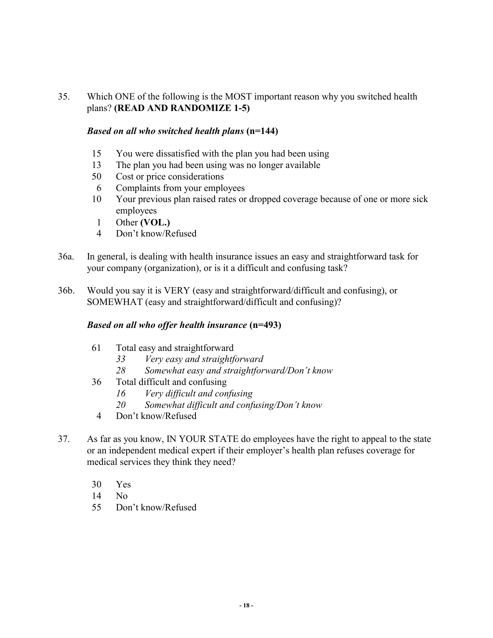# 35. Which ONE of the following is the MOST important reason why you switched health plans? **(READ AND RANDOMIZE 1-5)**

# *Based on all who switched health plans* **(n=144)**

- 15 You were dissatisfied with the plan you had been using
- 13 The plan you had been using was no longer available
- 50 Cost or price considerations
- 6 Complaints from your employees
- 10 Your previous plan raised rates or dropped coverage because of one or more sick employees
- 1 Other **(VOL.)**
- 4 Don't know/Refused
- 36a. In general, is dealing with health insurance issues an easy and straightforward task for your company (organization), or is it a difficult and confusing task?
- 36b. Would you say it is VERY (easy and straightforward/difficult and confusing), or SOMEWHAT (easy and straightforward/difficult and confusing)?

- 61 Total easy and straightforward
	- *33 Very easy and straightforward*
	- *28 Somewhat easy and straightforward/Don't know*
- 36 Total difficult and confusing
	- *16 Very difficult and confusing*
	- *20 Somewhat difficult and confusing/Don't know*
- 4 Don't know/Refused
- 37. As far as you know, IN YOUR STATE do employees have the right to appeal to the state or an independent medical expert if their employer's health plan refuses coverage for medical services they think they need?
	- 30 Yes
	- 14 No
	- 55 Don't know/Refused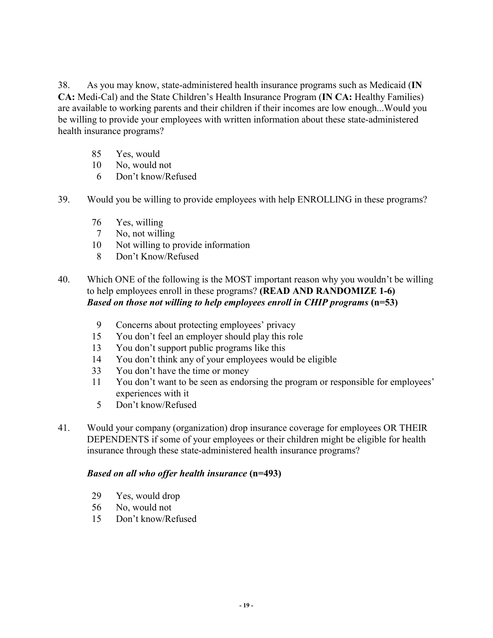38. As you may know, state-administered health insurance programs such as Medicaid (**IN CA:** Medi-Cal) and the State Children's Health Insurance Program (**IN CA:** Healthy Families) are available to working parents and their children if their incomes are low enough...Would you be willing to provide your employees with written information about these state-administered health insurance programs?

- 85 Yes, would
- 10 No, would not
- 6 Don't know/Refused
- 39. Would you be willing to provide employees with help ENROLLING in these programs?
	- 76 Yes, willing
	- 7 No, not willing
	- 10 Not willing to provide information
	- 8 Don't Know/Refused
- 40. Which ONE of the following is the MOST important reason why you wouldn't be willing to help employees enroll in these programs? **(READ AND RANDOMIZE 1-6)** *Based on those not willing to help employees enroll in CHIP programs* **(n=53)** 
	- 9 Concerns about protecting employees' privacy
	- 15 You don't feel an employer should play this role
	- 13 You don't support public programs like this
	- 14 You don't think any of your employees would be eligible
	- 33 You don't have the time or money
	- 11 You don't want to be seen as endorsing the program or responsible for employees' experiences with it
		- 5 Don't know/Refused
- 41. Would your company (organization) drop insurance coverage for employees OR THEIR DEPENDENTS if some of your employees or their children might be eligible for health insurance through these state-administered health insurance programs?

- 29 Yes, would drop
- 56 No, would not
- 15 Don't know/Refused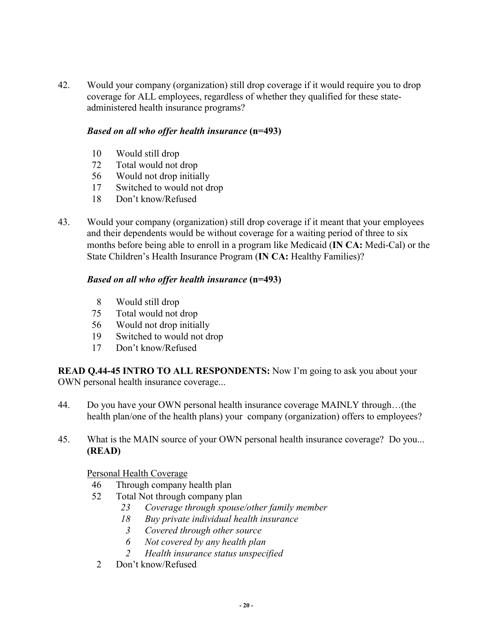42. Would your company (organization) still drop coverage if it would require you to drop coverage for ALL employees, regardless of whether they qualified for these stateadministered health insurance programs?

# *Based on all who offer health insurance* **(n=493)**

- 10 Would still drop
- 72 Total would not drop
- 56 Would not drop initially
- 17 Switched to would not drop
- 18 Don't know/Refused
- 43. Would your company (organization) still drop coverage if it meant that your employees and their dependents would be without coverage for a waiting period of three to six months before being able to enroll in a program like Medicaid (**IN CA:** Medi-Cal) or the State Children's Health Insurance Program (**IN CA:** Healthy Families)?

# *Based on all who offer health insurance* **(n=493)**

- 8 Would still drop
- 75 Total would not drop
- 56 Would not drop initially
- 19 Switched to would not drop
- 17 Don't know/Refused

**READ Q.44-45 INTRO TO ALL RESPONDENTS:** Now I'm going to ask you about your OWN personal health insurance coverage...

- 44. Do you have your OWN personal health insurance coverage MAINLY through…(the health plan/one of the health plans) your company (organization) offers to employees?
- 45. What is the MAIN source of your OWN personal health insurance coverage? Do you... **(READ)**

# Personal Health Coverage

- 46 Through company health plan
- 52 Total Not through company plan
	- *23 Coverage through spouse/other family member*
	- *18 Buy private individual health insurance*
	- *3 Covered through other source*
	- *6 Not covered by any health plan*
	- *2 Health insurance status unspecified*
- 2 Don't know/Refused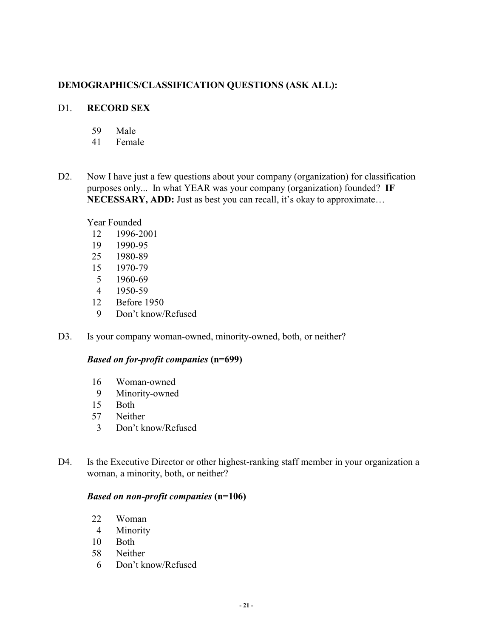# **DEMOGRAPHICS/CLASSIFICATION QUESTIONS (ASK ALL):**

# D1. **RECORD SEX**

- 59 Male
- 41 Female
- D2. Now I have just a few questions about your company (organization) for classification purposes only... In what YEAR was your company (organization) founded? **IF NECESSARY, ADD:** Just as best you can recall, it's okay to approximate…

# Year Founded

- 12 1996-2001
- 19 1990-95
- 25 1980-89
- 15 1970-79
- 5 1960-69
- 4 1950-59
- 12 Before 1950
- 9 Don't know/Refused
- D3. Is your company woman-owned, minority-owned, both, or neither?

#### *Based on for-profit companies* **(n=699)**

- 16 Woman-owned
- 9 Minority-owned
- 15 Both
- 57 Neither
- 3 Don't know/Refused
- D4. Is the Executive Director or other highest-ranking staff member in your organization a woman, a minority, both, or neither?

#### *Based on non-profit companies* **(n=106)**

- 22 Woman
- 4 Minority
- 10 Both
- 58 Neither
- 6 Don't know/Refused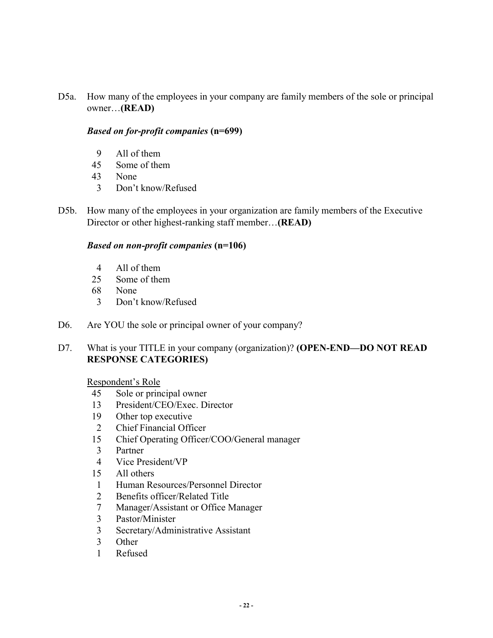D5a. How many of the employees in your company are family members of the sole or principal owner…**(READ)** 

#### *Based on for-profit companies* **(n=699)**

- 9 All of them
- 45 Some of them
- 43 None
- 3 Don't know/Refused
- D5b. How many of the employees in your organization are family members of the Executive Director or other highest-ranking staff member…**(READ)**

#### *Based on non-profit companies* **(n=106)**

- 4 All of them
- 25 Some of them
- 68 None
- 3 Don't know/Refused
- D6. Are YOU the sole or principal owner of your company?
- D7. What is your TITLE in your company (organization)? **(OPEN-END—DO NOT READ RESPONSE CATEGORIES)**

#### Respondent's Role

- 45 Sole or principal owner
- 13 President/CEO/Exec. Director
- 19 Other top executive
- 2 Chief Financial Officer
- 15 Chief Operating Officer/COO/General manager
- 3 Partner
- 4 Vice President/VP
- 15 All others
- 1 Human Resources/Personnel Director
- 2 Benefits officer/Related Title
- 7 Manager/Assistant or Office Manager
- 3 Pastor/Minister
- 3 Secretary/Administrative Assistant
- 3 Other
- 1 Refused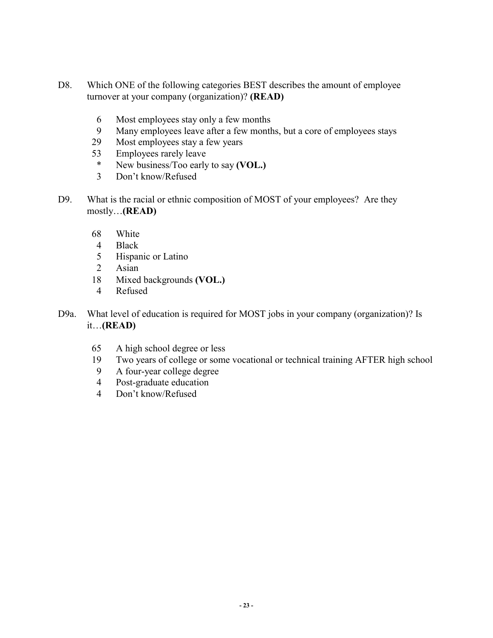- D8. Which ONE of the following categories BEST describes the amount of employee turnover at your company (organization)? **(READ)** 
	- 6 Most employees stay only a few months
	- 9 Many employees leave after a few months, but a core of employees stays
	- 29 Most employees stay a few years
	- 53 Employees rarely leave
		- \* New business/Too early to say **(VOL.)**
	- 3 Don't know/Refused
- D9. What is the racial or ethnic composition of MOST of your employees? Are they mostly…**(READ)** 
	- 68 White
	- 4 Black
	- 5 Hispanic or Latino
	- 2 Asian
	- 18 Mixed backgrounds **(VOL.)**
	- 4 Refused
- D9a. What level of education is required for MOST jobs in your company (organization)? Is it…**(READ)** 
	- 65 A high school degree or less
	- 19 Two years of college or some vocational or technical training AFTER high school
	- 9 A four-year college degree
	- 4 Post-graduate education
	- 4 Don't know/Refused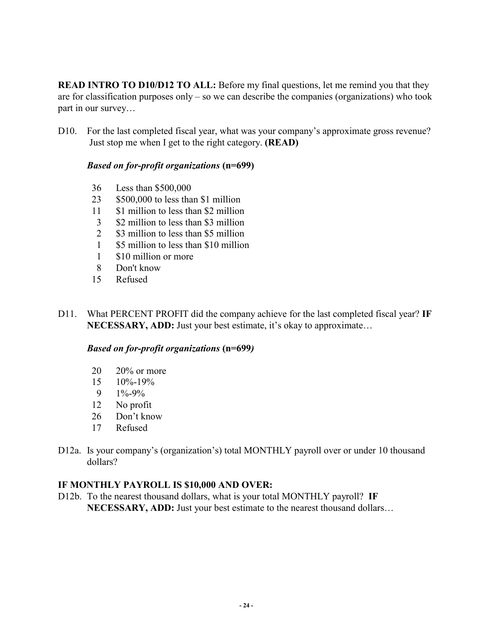**READ INTRO TO D10/D12 TO ALL:** Before my final questions, let me remind you that they are for classification purposes only – so we can describe the companies (organizations) who took part in our survey…

D10. For the last completed fiscal year, what was your company's approximate gross revenue? Just stop me when I get to the right category. **(READ)**

# *Based on for-profit organizations* **(n=699)**

- 36 Less than \$500,000
- 23 \$500,000 to less than \$1 million
- 11 \$1 million to less than \$2 million
- 3 \$2 million to less than \$3 million
- 2 \$3 million to less than \$5 million
- 1 \$5 million to less than \$10 million
- 1 \$10 million or more
- 8 Don't know
- 15 Refused
- D11. What PERCENT PROFIT did the company achieve for the last completed fiscal year? **IF NECESSARY, ADD:** Just your best estimate, it's okay to approximate…

#### *Based on for-profit organizations* **(n=699***)*

- 20 20% or more
- 15 10%-19%
- 9  $1\% 9\%$
- 12 No profit
- 26 Don't know
- 17 Refused
- D12a. Is your company's (organization's) total MONTHLY payroll over or under 10 thousand dollars?

# **IF MONTHLY PAYROLL IS \$10,000 AND OVER:**

D12b. To the nearest thousand dollars, what is your total MONTHLY payroll? **IF NECESSARY, ADD:** Just your best estimate to the nearest thousand dollars…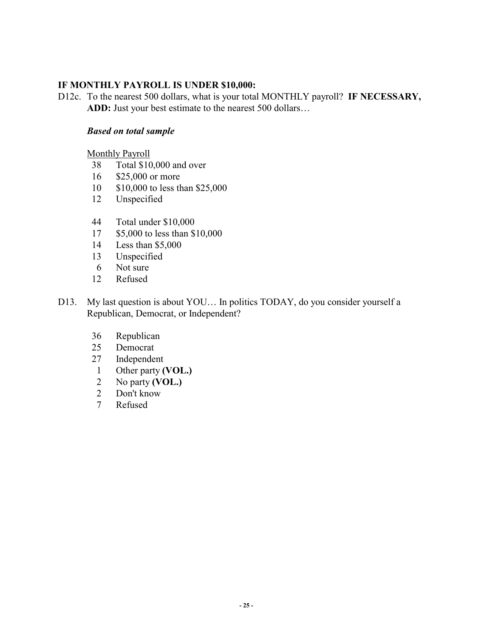# **IF MONTHLY PAYROLL IS UNDER \$10,000:**

D12c. To the nearest 500 dollars, what is your total MONTHLY payroll? **IF NECESSARY, ADD:** Just your best estimate to the nearest 500 dollars…

#### *Based on total sample*

Monthly Payroll

- 38 Total \$10,000 and over
- 16 \$25,000 or more
- 10 \$10,000 to less than \$25,000
- 12 Unspecified
- 44 Total under \$10,000
- 17 \$5,000 to less than \$10,000
- 14 Less than \$5,000
- 13 Unspecified
- 6 Not sure
- 12 Refused
- D13. My last question is about YOU... In politics TODAY, do you consider yourself a Republican, Democrat, or Independent?
	- 36 Republican
	- 25 Democrat
	- 27 Independent
	- 1 Other party **(VOL.)**
	- 2 No party **(VOL.)**
	- 2 Don't know
	- 7 Refused